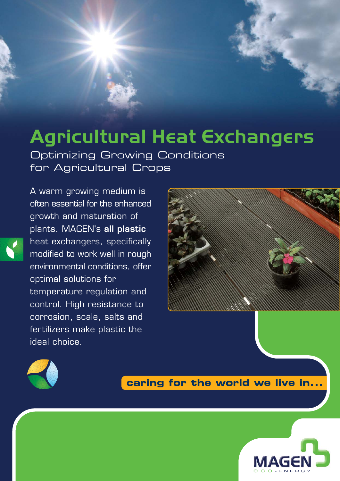# **Agricultural Heat Exchangers**

Optimizing Growing Conditions for Agricultural Crops

often essential for the enhanced growth and maturation of plants. MAGEN's **all plastic** heat exchangers, specifically modified to work well in rough environmental conditions, offer optimal solutions for temperature regulation and control. High resistance to corrosion, scale, salts and fertilizers make plastic the ideal choice.

A warm growing medium is





**caring for the world we live in...**